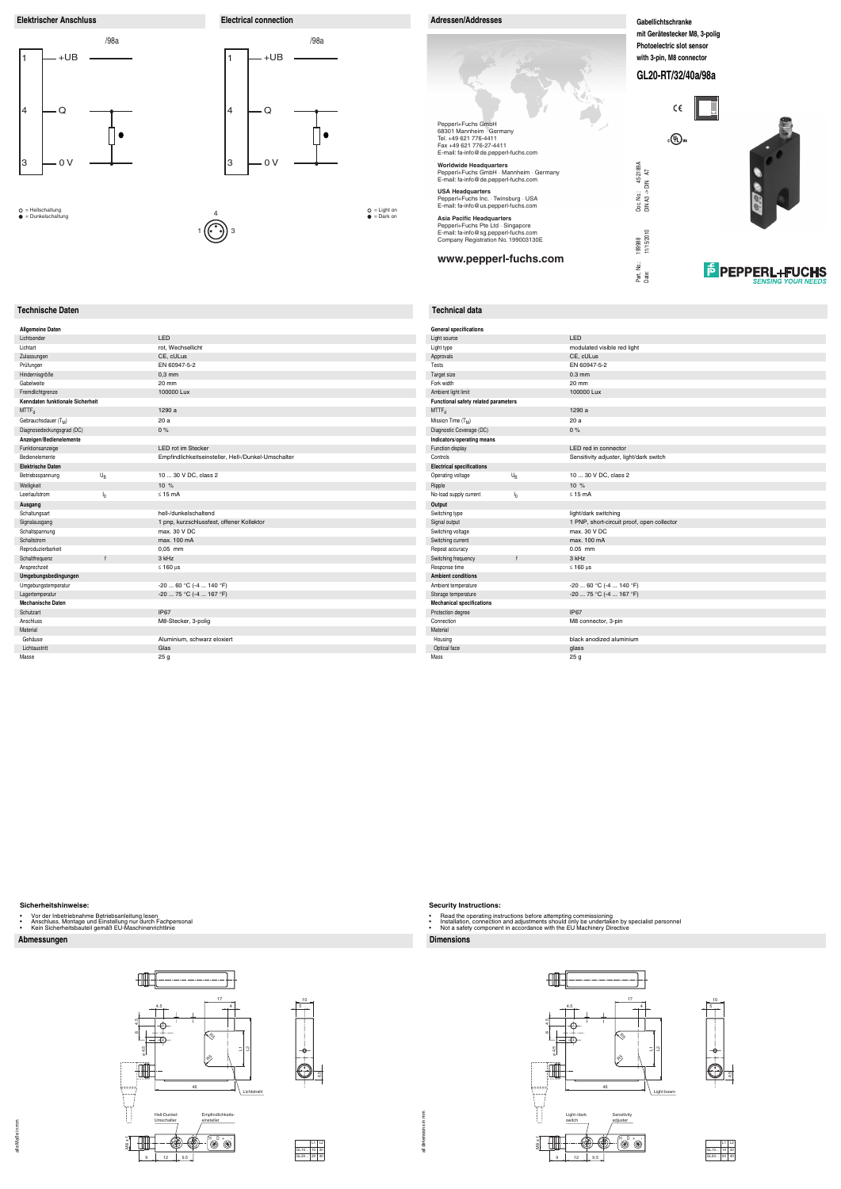**Elektrischer Anschluss Electrical connection Adressen/Addresses Adressen/Addresses** 

# **Abmessungen Dimensions**

# **Technische Daten Technical data**

### **Sicherheitshinweise:**

- 
- Vor der Inbetriebnahme Betriebsanleitung lesen Anschluss, Montage und Einstellung nur durch Fachpersonal Kein Sicherheitsbauteil gemäß EU-Maschinenrichtlinie
- 

all dimensions in mm all dimensions in mm



## **Security Instructions:**

- 
- Read the operating instructions before attempting commissioning<br>• Installation, connection and adjustments should only be undertaken by specialist personnel<br>• Not a safety component in accordance with the EU
- 





**F** PEPPERL+FUCHS



| LED                                                 |
|-----------------------------------------------------|
| rot, Wechsellicht                                   |
| CE, cULus                                           |
| EN 60947-5-2                                        |
| $0.3$ mm                                            |
| 20 mm                                               |
| 100000 Lux                                          |
|                                                     |
| 1290 a                                              |
| 20 a                                                |
| 0%                                                  |
|                                                     |
| <b>LED rot im Stecker</b>                           |
| Empfindlichkeitseinsteller, Hell-/Dunkel-Umschalter |
|                                                     |
| 10  30 V DC, class 2                                |
| 10 %                                                |
| $\leq$ 15 mA                                        |
|                                                     |
| hell-/dunkelschaltend                               |
| 1 pnp, kurzschlussfest, offener Kollektor           |
| max. 30 V DC                                        |
| max. 100 mA                                         |
| $0.05$ mm                                           |
| 3 kHz                                               |
| $\leq 160$ µs                                       |
|                                                     |
| $-20$ 60 °C ( $-4$ 140 °F)                          |
| -20  75 °C (-4  167 °F)                             |
|                                                     |
| IP67                                                |
| M8-Stecker, 3-polig                                 |
|                                                     |
| Aluminium, schwarz eloxiert                         |
| Glas                                                |
| 25 <sub>g</sub>                                     |
|                                                     |

10





| ٩  |  |
|----|--|
| ۰, |  |



4





| <b>General specifications</b>        |                |                                            |
|--------------------------------------|----------------|--------------------------------------------|
| Light source                         |                | LED                                        |
| Light type                           |                | modulated visible red light                |
| Approvals                            |                | CE, cULus                                  |
| Tests                                |                | EN 60947-5-2                               |
| Target size                          |                | $0.3$ mm                                   |
| Fork width                           |                | 20 mm                                      |
| Ambient light limit                  |                | 100000 Lux                                 |
| Functional safety related parameters |                |                                            |
| $MTTF_d$                             |                | 1290 a                                     |
| Mission Time (T <sub>M</sub> )       |                | 20a                                        |
| Diagnostic Coverage (DC)             |                | 0%                                         |
| Indicators/operating means           |                |                                            |
| Function display                     |                | LED red in connector                       |
| Controls                             |                | Sensitivity adjuster, light/dark switch    |
| <b>Electrical specifications</b>     |                |                                            |
| Operating voltage                    | $U_{R}$        | 10  30 V DC, class 2                       |
| Ripple                               |                | 10 %                                       |
| No-load supply current               | I <sub>0</sub> | $\leq 15$ mA                               |
| Output                               |                |                                            |
| Switching type                       |                | light/dark switching                       |
| Signal output                        |                | 1 PNP, short-circuit proof, open collector |
| Switching voltage                    |                | max. 30 V DC                               |
| Switching current                    |                | max. 100 mA                                |
| Repeat accuracy                      |                | $0.05$ mm                                  |
| Switching frequency                  | $\mathbf{f}$   | 3 kHz                                      |
| Response time                        |                | $\leq 160$ µs                              |
| <b>Ambient conditions</b>            |                |                                            |
| Ambient temperature                  |                | $-20$ 60 °C ( $-4$ 140 °F)                 |
| Storage temperature                  |                | -20  75 °C (-4  167 °F)                    |
| <b>Mechanical specifications</b>     |                |                                            |
| Protection degree                    |                | <b>IP67</b>                                |
| Connection                           |                | M8 connector, 3-pin                        |
| Material                             |                |                                            |
| Housing                              |                | black anodized aluminium                   |
| Optical face                         |                | qlass                                      |
| Mass                                 |                | 25 g                                       |

= Hellschaltung = Dunkelschaltung

1 **((• •))** 3

= Light on = Dark on